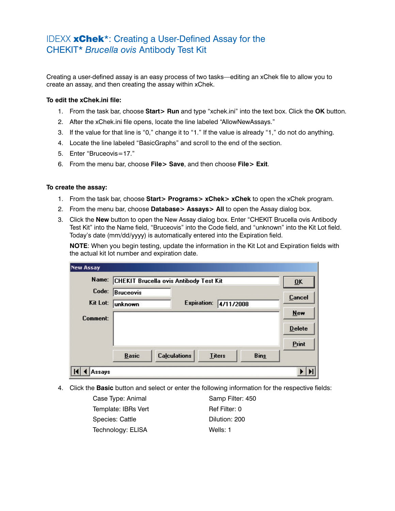## IDEXX **xChek**\*: Creating a User-Defined Assay for the CHEKIT\* *Brucella ovis* Antibody Test Kit

Creating a user-defined assay is an easy process of two tasks—editing an xChek file to allow you to create an assay, and then creating the assay within xChek.

## **To edit the xChek.ini file:**

- 1. From the task bar, choose **Start> Run** and type "xchek.ini" into the text box. Click the **OK** button.
- 2. After the xChek.ini file opens, locate the line labeled "AllowNewAssays."
- 3. If the value for that line is "0," change it to "1." If the value is already "1," do not do anything.
- 4. Locate the line labeled "BasicGraphs" and scroll to the end of the section.
- 5. Enter "Bruceovis=17."
- 6. From the menu bar, choose **File> Save**, and then choose **File> Exit**.

## **To create the assay:**

- 1. From the task bar, choose **Start> Programs> xChek> xChek** to open the xChek program.
- 2. From the menu bar, choose **Database> Assays> All** to open the Assay dialog box.
- 3. Click the **New** button to open the New Assay dialog box. Enter "CHEKIT Brucella ovis Antibody Test Kit" into the Name field, "Bruceovis" into the Code field, and "unknown" into the Kit Lot field. Today's date (mm/dd/yyyy) is automatically entered into the Expiration field.

**NOTE:** When you begin testing, update the information in the Kit Lot and Expiration fields with the actual kit lot number and expiration date.

| Name:    |                  | CHEKIT Brucella ovis Antibody Test Kit |                    |               |             | $\overline{\mathbf{U}}$ K |
|----------|------------------|----------------------------------------|--------------------|---------------|-------------|---------------------------|
| Code:    | <b>Bruceovis</b> |                                        |                    |               |             | Cancel                    |
| Kit Lot: | unknown          |                                        | <b>Expiration:</b> | 4/11/2008     |             |                           |
| Comment: |                  |                                        |                    |               |             | <b>New</b>                |
|          |                  |                                        |                    |               |             | <b>Delete</b>             |
|          |                  |                                        |                    |               |             | Print                     |
|          | <b>Basic</b>     | <b>Calculations</b>                    |                    | <b>Titers</b> | <b>Bins</b> |                           |

4. Click the **Basic** button and select or enter the following information for the respective fields:

| Case Type: Animal   | Samp Filter: 450 |
|---------------------|------------------|
| Template: IBRs Vert | Ref Filter: 0    |
| Species: Cattle     | Dilution: 200    |
| Technology: ELISA   | Wells: 1         |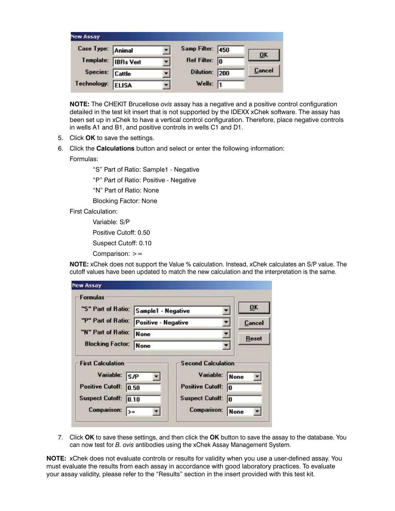| <b>New Assay</b>  |                    |                         |               |
|-------------------|--------------------|-------------------------|---------------|
| Case Type: Animal |                    | Samp Filter: 450        |               |
|                   | Template: BRs Vert | Ref Filter: $\boxed{0}$ | QK            |
| Species: Cattle   |                    | Dilution: 200           | <b>Cancel</b> |
| Technology: ELISA |                    | Wells: $\sqrt{1}$       |               |

**NOTE:** The CHEKIT Brucellose *ovis* assay has a negative and a positive control configuration detailed in the test kit insert that is not supported by the IDEXX xChek software. The assay has been set up in xChek to have a vertical control configuration. Therefore, place negative controls in wells A1 and B1, and positive controls in wells C1 and D1.

- 5. Click **OK** to save the settings.
- 6. Click the **Calculations** button and select or enter the following information:

Formulas:

"S" Part of Ratio: Sample1 - Negative

"P" Part of Ratio: Positive - Negative

"N" Part of Ratio: None

Blocking Factor: None

First Calculation:

Variable: S/P

Positive Cutoff: 0.50

Suspect Cutoff: 0.10

Comparison:  $>=$ 

**NOTE:** xChek does not support the Value % calculation. Instead, xChek calculates an S/P value. The cutoff values have been updated to match the new calculation and the interpretation is the same.

| <b>Formulas</b>                                                                                                      |                     |                                                                                                                        |                  |
|----------------------------------------------------------------------------------------------------------------------|---------------------|------------------------------------------------------------------------------------------------------------------------|------------------|
| "S" Part of Ratio: Sample1 - Negative                                                                                |                     | OK                                                                                                                     |                  |
| "P" Part of Ratio:                                                                                                   | Positive - Negative |                                                                                                                        | Cancel           |
| "N" Part of Ratio:                                                                                                   | None                |                                                                                                                        | <b>Reset</b>     |
| <b>Blocking Factor: None</b>                                                                                         |                     |                                                                                                                        |                  |
| <b>First Calculation</b><br>Variable: S/P<br><b>Positive Cutoff:</b><br><b>Suspect Cutoff:</b><br><b>Comparison:</b> | 0.50<br> 0.10       | <b>Second Calculation</b><br>Variable: None<br><b>Positive Cutoff:</b><br><b>Suspect Cutoff:</b><br><b>Comparison:</b> | lo<br>lo<br>None |

7. Click **OK** to save these settings, and then click the **OK** button to save the assay to the database. You can now test for *B. ovis* antibodies using the xChek Assay Management System.

**NOTE:** xChek does not evaluate controls or results for validity when you use a user-defined assay. You must evaluate the results from each assay in accordance with good laboratory practices. To evaluate your assay validity, please refer to the "Results" section in the insert provided with this test kit.